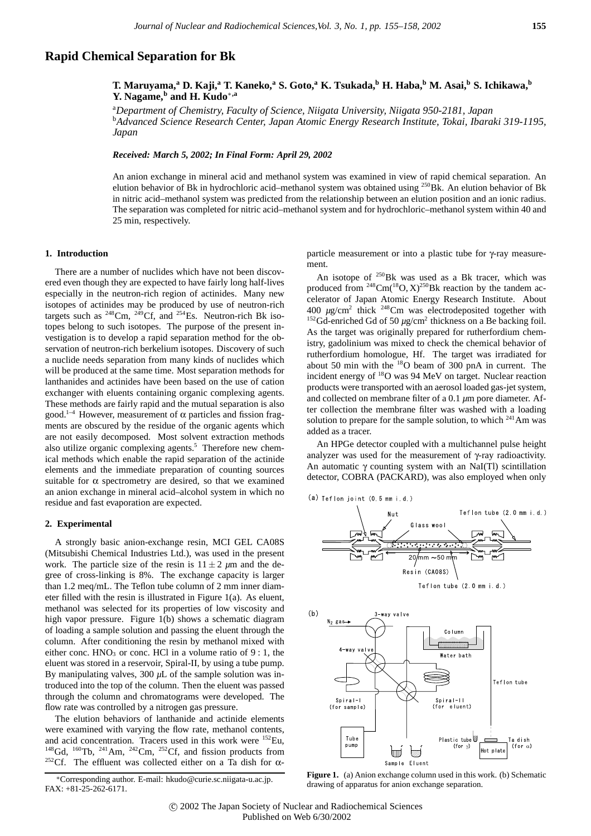# **Rapid Chemical Separation for Bk**

**T. Maruyama,<sup>a</sup> D. Kaji,<sup>a</sup> T. Kaneko,<sup>a</sup> S. Goto,<sup>a</sup> K. Tsukada,b H. Haba,<sup>b</sup> M. Asai,<sup>b</sup> S. Ichikawa,<sup>b</sup> Y. Nagame,<sup>b</sup> and H. Kudo**∗**,a**

a *Department of Chemistry, Faculty of Science, Niigata University, Niigata 950-2181, Japan* b *Advanced Science Research Center, Japan Atomic Energy Research Institute, Tokai, Ibaraki 319-1195, Japan*

*Received: March 5, 2002; In Final Form: April 29, 2002*

An anion exchange in mineral acid and methanol system was examined in view of rapid chemical separation. An elution behavior of Bk in hydrochloric acid–methanol system was obtained using <sup>250</sup>Bk. An elution behavior of Bk in nitric acid–methanol system was predicted from the relationship between an elution position and an ionic radius. The separation was completed for nitric acid–methanol system and for hydrochloric–methanol system within 40 and 25 min, respectively.

## **1. Introduction**

There are a number of nuclides which have not been discovered even though they are expected to have fairly long half-lives especially in the neutron-rich region of actinides. Many new isotopes of actinides may be produced by use of neutron-rich targets such as  $^{248}$ Cm,  $^{249}$ Cf, and  $^{254}$ Es. Neutron-rich Bk isotopes belong to such isotopes. The purpose of the present investigation is to develop a rapid separation method for the observation of neutron-rich berkelium isotopes. Discovery of such a nuclide needs separation from many kinds of nuclides which will be produced at the same time. Most separation methods for lanthanides and actinides have been based on the use of cation exchanger with eluents containing organic complexing agents. These methods are fairly rapid and the mutual separation is also good.<sup>1–4</sup> However, measurement of  $\alpha$  particles and fission fragments are obscured by the residue of the organic agents which are not easily decomposed. Most solvent extraction methods also utilize organic complexing agents.<sup>5</sup> Therefore new chemical methods which enable the rapid separation of the actinide elements and the immediate preparation of counting sources suitable for  $\alpha$  spectrometry are desired, so that we examined an anion exchange in mineral acid–alcohol system in which no residue and fast evaporation are expected.

#### **2. Experimental**

A strongly basic anion-exchange resin, MCI GEL CA08S (Mitsubishi Chemical Industries Ltd.), was used in the present work. The particle size of the resin is  $11 \pm 2 \mu m$  and the degree of cross-linking is 8%. The exchange capacity is larger than 1.2 meq/mL. The Teflon tube column of 2 mm inner diameter filled with the resin is illustrated in Figure 1(a). As eluent, methanol was selected for its properties of low viscosity and high vapor pressure. Figure 1(b) shows a schematic diagram of loading a sample solution and passing the eluent through the column. After conditioning the resin by methanol mixed with either conc.  $HNO<sub>3</sub>$  or conc. HCl in a volume ratio of 9 : 1, the eluent was stored in a reservoir, Spiral-II, by using a tube pump. By manipulating valves,  $300 \mu L$  of the sample solution was introduced into the top of the column. Then the eluent was passed through the column and chromatograms were developed. The flow rate was controlled by a nitrogen gas pressure.

The elution behaviors of lanthanide and actinide elements were examined with varying the flow rate, methanol contents, and acid concentration. Tracers used in this work were <sup>152</sup>Eu, <sup>148</sup>Gd, <sup>160</sup>Tb, <sup>241</sup>Am, <sup>242</sup>Cm, <sup>252</sup>Cf, and fission products from <sup>252</sup>Cf. The effluent was collected either on a Ta dish for  $\alpha$ - particle measurement or into a plastic tube for γ-ray measurement.

An isotope of <sup>250</sup>Bk was used as a Bk tracer, which was produced from  $248$ Cm( $18$ O, X)<sup>250</sup>Bk reaction by the tandem accelerator of Japan Atomic Energy Research Institute. About 400 *µ*g/cm2 thick 248Cm was electrodeposited together with <sup>152</sup>Gd-enriched Gd of 50  $\mu$ g/cm<sup>2</sup> thickness on a Be backing foil. As the target was originally prepared for rutherfordium chemistry, gadolinium was mixed to check the chemical behavior of rutherfordium homologue, Hf. The target was irradiated for about 50 min with the  $^{18}$ O beam of 300 pnA in current. The incident energy of  $^{18}$ O was 94 MeV on target. Nuclear reaction products were transported with an aerosol loaded gas-jet system, and collected on membrane filter of a 0.1 *µ*m pore diameter. After collection the membrane filter was washed with a loading solution to prepare for the sample solution, to which  $^{241}$ Am was added as a tracer.

An HPGe detector coupled with a multichannel pulse height analyzer was used for the measurement of γ-ray radioactivity. An automatic  $\gamma$  counting system with an NaI(Tl) scintillation detector, COBRA (PACKARD), was also employed when only







Figure 1. (a) Anion exchange column used in this work. (b) Schematic drawing of apparatus for anion exchange separation.

<sup>∗</sup>Corresponding author. E-mail: hkudo@curie.sc.niigata-u.ac.jp. FAX: +81-25-262-6171.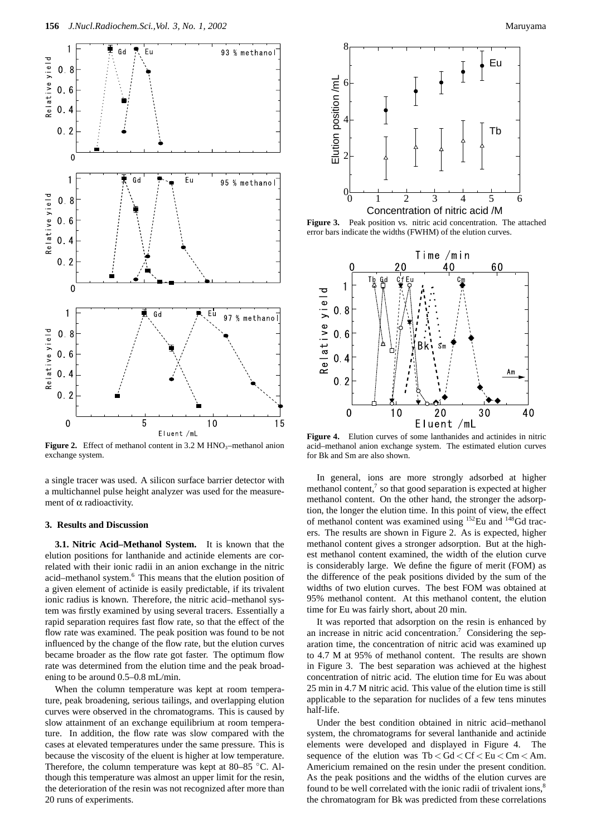

Figure 2. Effect of methanol content in 3.2 M HNO<sub>3</sub>–methanol anion exchange system.

a single tracer was used. A silicon surface barrier detector with a multichannel pulse height analyzer was used for the measurement of α radioactivity.

### **3. Results and Discussion**

**3.1. Nitric Acid–Methanol System.** It is known that the elution positions for lanthanide and actinide elements are correlated with their ionic radii in an anion exchange in the nitric acid–methanol system.<sup>6</sup> This means that the elution position of a given element of actinide is easily predictable, if its trivalent ionic radius is known. Therefore, the nitric acid–methanol system was firstly examined by using several tracers. Essentially a rapid separation requires fast flow rate, so that the effect of the flow rate was examined. The peak position was found to be not influenced by the change of the flow rate, but the elution curves became broader as the flow rate got faster. The optimum flow rate was determined from the elution time and the peak broadening to be around 0.5–0.8 mL/min.

When the column temperature was kept at room temperature, peak broadening, serious tailings, and overlapping elution curves were observed in the chromatograms. This is caused by slow attainment of an exchange equilibrium at room temperature. In addition, the flow rate was slow compared with the cases at elevated temperatures under the same pressure. This is because the viscosity of the eluent is higher at low temperature. Therefore, the column temperature was kept at 80–85 °C. Although this temperature was almost an upper limit for the resin, the deterioration of the resin was not recognized after more than 20 runs of experiments.



**Figure 3.** Peak position vs. nitric acid concentration. The attached error bars indicate the widths (FWHM) of the elution curves.



**Figure 4.** Elution curves of some lanthanides and actinides in nitric acid–methanol anion exchange system. The estimated elution curves for Bk and Sm are also shown.

In general, ions are more strongly adsorbed at higher methanol content, $\frac{7}{1}$  so that good separation is expected at higher methanol content. On the other hand, the stronger the adsorption, the longer the elution time. In this point of view, the effect of methanol content was examined using <sup>152</sup>Eu and <sup>148</sup>Gd tracers. The results are shown in Figure 2. As is expected, higher methanol content gives a stronger adsorption. But at the highest methanol content examined, the width of the elution curve is considerably large. We define the figure of merit (FOM) as the difference of the peak positions divided by the sum of the widths of two elution curves. The best FOM was obtained at 95% methanol content. At this methanol content, the elution time for Eu was fairly short, about 20 min.

It was reported that adsorption on the resin is enhanced by an increase in nitric acid concentration.<sup>7</sup> Considering the separation time, the concentration of nitric acid was examined up to 4.7 M at 95% of methanol content. The results are shown in Figure 3. The best separation was achieved at the highest concentration of nitric acid. The elution time for Eu was about 25 min in 4.7 M nitric acid. This value of the elution time is still applicable to the separation for nuclides of a few tens minutes half-life.

Under the best condition obtained in nitric acid–methanol system, the chromatograms for several lanthanide and actinide elements were developed and displayed in Figure 4. The sequence of the elution was Tb *<* Gd *<* Cf *<* Eu *<* Cm *<* Am. Americium remained on the resin under the present condition. As the peak positions and the widths of the elution curves are found to be well correlated with the ionic radii of trivalent ions, $8$ the chromatogram for Bk was predicted from these correlations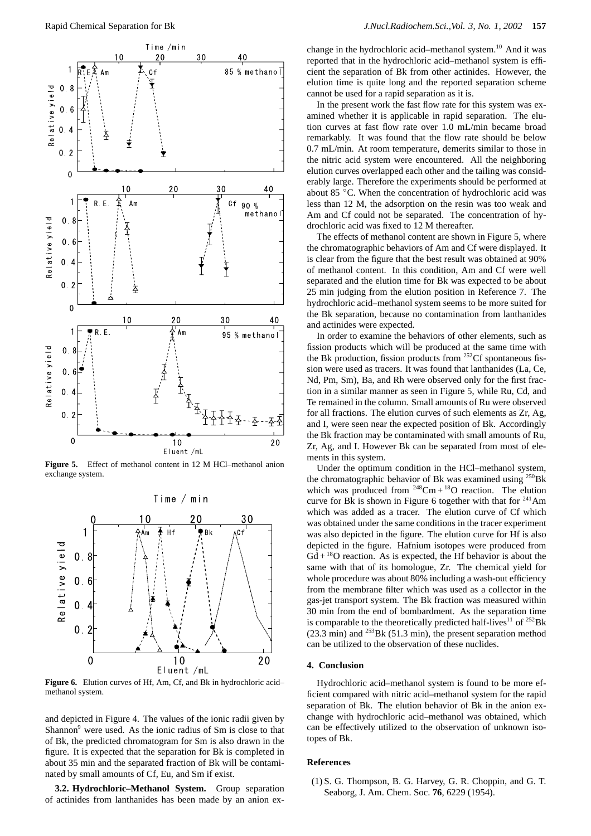

**Figure 5.** Effect of methanol content in 12 M HCl–methanol anion exchange system.



**Figure 6.** Elution curves of Hf, Am, Cf, and Bk in hydrochloric acid– methanol system.

and depicted in Figure 4. The values of the ionic radii given by Shannon<sup>9</sup> were used. As the ionic radius of Sm is close to that of Bk, the predicted chromatogram for Sm is also drawn in the figure. It is expected that the separation for Bk is completed in about 35 min and the separated fraction of Bk will be contaminated by small amounts of Cf, Eu, and Sm if exist.

**3.2. Hydrochloric–Methanol System.** Group separation of actinides from lanthanides has been made by an anion exchange in the hydrochloric acid–methanol system.<sup>10</sup> And it was reported that in the hydrochloric acid–methanol system is efficient the separation of Bk from other actinides. However, the elution time is quite long and the reported separation scheme cannot be used for a rapid separation as it is.

In the present work the fast flow rate for this system was examined whether it is applicable in rapid separation. The elution curves at fast flow rate over 1.0 mL/min became broad remarkably. It was found that the flow rate should be below 0.7 mL/min. At room temperature, demerits similar to those in the nitric acid system were encountered. All the neighboring elution curves overlapped each other and the tailing was considerably large. Therefore the experiments should be performed at about 85 ◦C. When the concentration of hydrochloric acid was less than 12 M, the adsorption on the resin was too weak and Am and Cf could not be separated. The concentration of hydrochloric acid was fixed to 12 M thereafter.

The effects of methanol content are shown in Figure 5, where the chromatographic behaviors of Am and Cf were displayed. It is clear from the figure that the best result was obtained at 90% of methanol content. In this condition, Am and Cf were well separated and the elution time for Bk was expected to be about 25 min judging from the elution position in Reference 7. The hydrochloric acid–methanol system seems to be more suited for the Bk separation, because no contamination from lanthanides and actinides were expected.

In order to examine the behaviors of other elements, such as fission products which will be produced at the same time with the Bk production, fission products from  $252$ Cf spontaneous fission were used as tracers. It was found that lanthanides (La, Ce, Nd, Pm, Sm), Ba, and Rh were observed only for the first fraction in a similar manner as seen in Figure 5, while Ru, Cd, and Te remained in the column. Small amounts of Ru were observed for all fractions. The elution curves of such elements as Zr, Ag, and I, were seen near the expected position of Bk. Accordingly the Bk fraction may be contaminated with small amounts of Ru, Zr, Ag, and I. However Bk can be separated from most of elements in this system.

Under the optimum condition in the HCl–methanol system, the chromatographic behavior of Bk was examined using  $^{250}$ Bk which was produced from  $248 \text{Cm} + 18 \text{O}$  reaction. The elution curve for Bk is shown in Figure 6 together with that for  $241$ Am which was added as a tracer. The elution curve of Cf which was obtained under the same conditions in the tracer experiment was also depicted in the figure. The elution curve for Hf is also depicted in the figure. Hafnium isotopes were produced from  $Gd + {}^{18}O$  reaction. As is expected, the Hf behavior is about the same with that of its homologue, Zr. The chemical yield for whole procedure was about 80% including a wash-out efficiency from the membrane filter which was used as a collector in the gas-jet transport system. The Bk fraction was measured within 30 min from the end of bombardment. As the separation time is comparable to the theoretically predicted half-lives<sup>11</sup> of  $^{252}$ Bk (23.3 min) and  $^{253}$ Bk (51.3 min), the present separation method can be utilized to the observation of these nuclides.

#### **4. Conclusion**

Hydrochloric acid–methanol system is found to be more efficient compared with nitric acid–methanol system for the rapid separation of Bk. The elution behavior of Bk in the anion exchange with hydrochloric acid–methanol was obtained, which can be effectively utilized to the observation of unknown isotopes of Bk.

#### **References**

(1) S. G. Thompson, B. G. Harvey, G. R. Choppin, and G. T. Seaborg, J. Am. Chem. Soc. **76**, 6229 (1954).